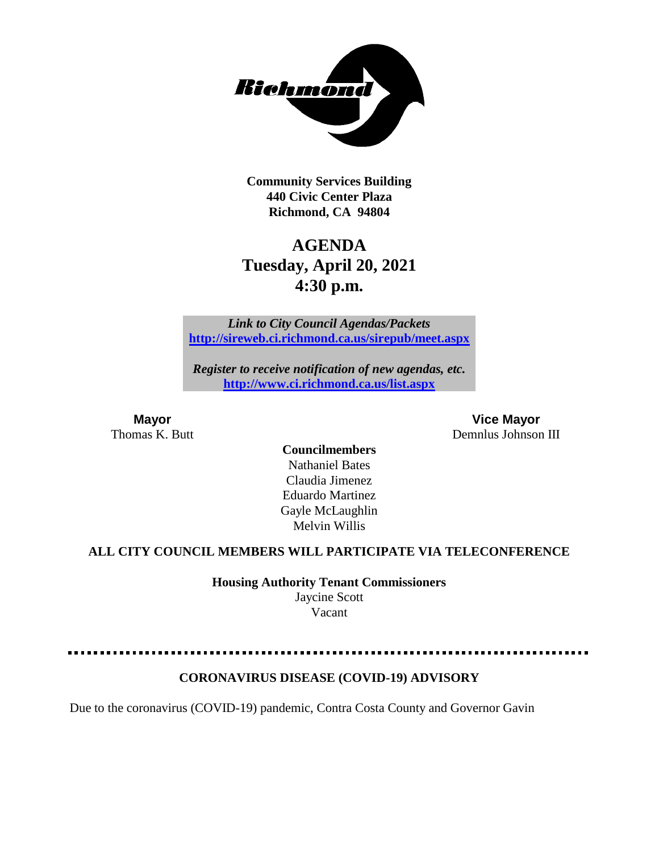

**Community Services Building 440 Civic Center Plaza Richmond, CA 94804**

# **AGENDA Tuesday, April 20, 2021 4:30 p.m.**

*Link to City Council Agendas/Packets* **<http://sireweb.ci.richmond.ca.us/sirepub/meet.aspx>**

*Register to receive notification of new agendas, etc.* **<http://www.ci.richmond.ca.us/list.aspx>**

**Mayor Vice Mayor** Thomas K. Butt **Demnlus Johnson III** 

> **Councilmembers** Nathaniel Bates Claudia Jimenez Eduardo Martinez Gayle McLaughlin Melvin Willis

#### **ALL CITY COUNCIL MEMBERS WILL PARTICIPATE VIA TELECONFERENCE**

**Housing Authority Tenant Commissioners**

Jaycine Scott Vacant

#### **CORONAVIRUS DISEASE (COVID-19) ADVISORY**

Due to the coronavirus (COVID-19) pandemic, Contra Costa County and Governor Gavin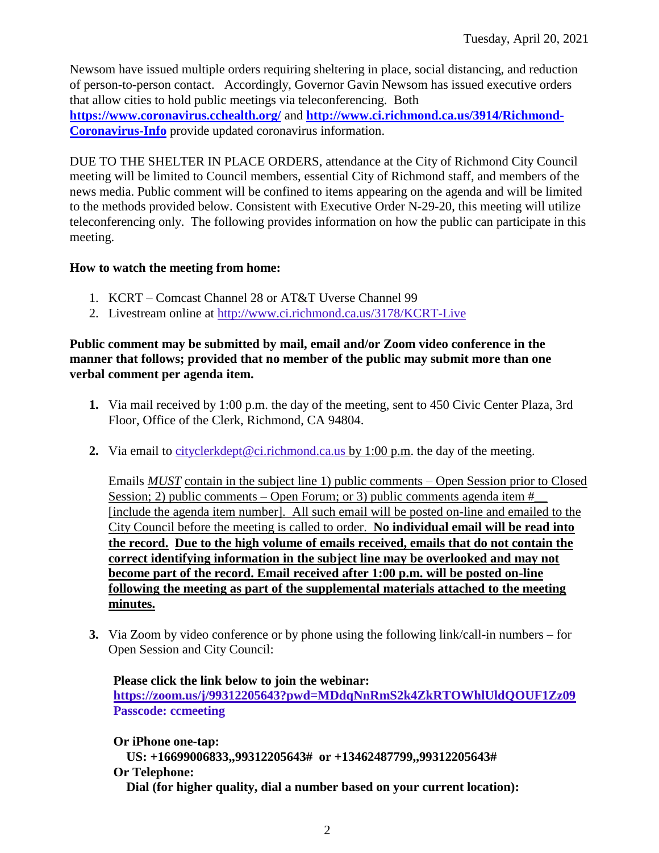Newsom have issued multiple orders requiring sheltering in place, social distancing, and reduction of person-to-person contact. Accordingly, Governor Gavin Newsom has issued executive orders that allow cities to hold public meetings via teleconferencing. Both **<https://www.coronavirus.cchealth.org/>** and **[http://www.ci.richmond.ca.us/3914/Richmond-](http://www.ci.richmond.ca.us/3914/Richmond-Coronavirus-Info)[Coronavirus-Info](http://www.ci.richmond.ca.us/3914/Richmond-Coronavirus-Info)** provide updated coronavirus information.

DUE TO THE SHELTER IN PLACE ORDERS, attendance at the City of Richmond City Council meeting will be limited to Council members, essential City of Richmond staff, and members of the news media. Public comment will be confined to items appearing on the agenda and will be limited to the methods provided below. Consistent with Executive Order N-29-20, this meeting will utilize teleconferencing only. The following provides information on how the public can participate in this meeting.

## **How to watch the meeting from home:**

- 1. KCRT Comcast Channel 28 or AT&T Uverse Channel 99
- 2. Livestream online at<http://www.ci.richmond.ca.us/3178/KCRT-Live>

#### **Public comment may be submitted by mail, email and/or Zoom video conference in the manner that follows; provided that no member of the public may submit more than one verbal comment per agenda item.**

- **1.** Via mail received by 1:00 p.m. the day of the meeting, sent to 450 Civic Center Plaza, 3rd Floor, Office of the Clerk, Richmond, CA 94804.
- **2.** Via email to [cityclerkdept@ci.richmond.ca.us](mailto:cityclerkdept@ci.richmond.ca.us) by 1:00 p.m. the day of the meeting.

Emails *MUST* contain in the subject line 1) public comments – Open Session prior to Closed Session; 2) public comments – Open Forum; or 3) public comments agenda item  $#$ [include the agenda item number]. All such email will be posted on-line and emailed to the City Council before the meeting is called to order. **No individual email will be read into the record. Due to the high volume of emails received, emails that do not contain the correct identifying information in the subject line may be overlooked and may not become part of the record. Email received after 1:00 p.m. will be posted on-line following the meeting as part of the supplemental materials attached to the meeting minutes.**

**3.** Via Zoom by video conference or by phone using the following link/call-in numbers – for Open Session and City Council:

**Please click the link below to join the webinar: <https://zoom.us/j/99312205643?pwd=MDdqNnRmS2k4ZkRTOWhlUldQOUF1Zz09> Passcode: ccmeeting**

**Or iPhone one-tap: US: +16699006833,,99312205643# or +13462487799,,99312205643# Or Telephone: Dial (for higher quality, dial a number based on your current location):**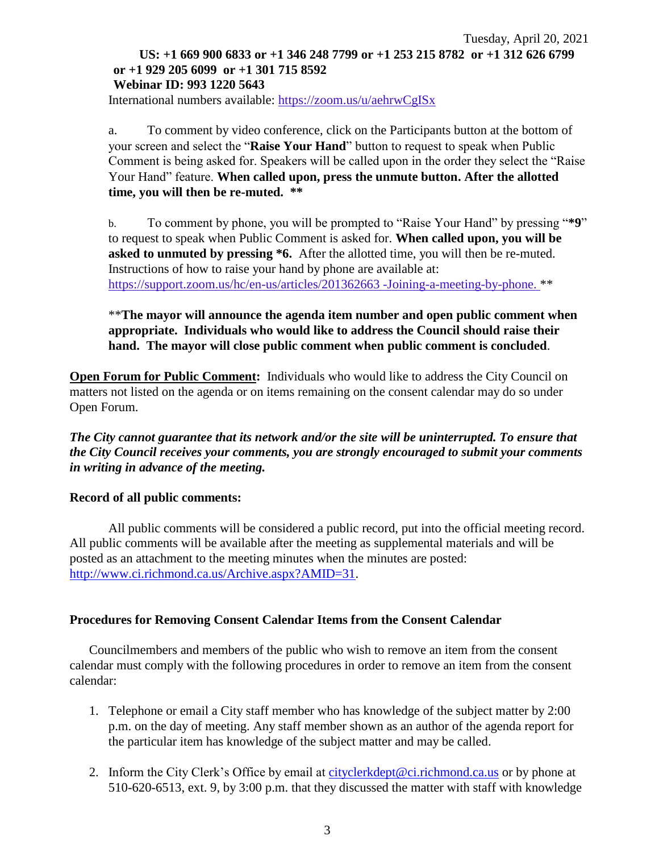## Tuesday, April 20, 2021 **US: +1 669 900 6833 or +1 346 248 7799 or +1 253 215 8782 or +1 312 626 6799 or +1 929 205 6099 or +1 301 715 8592 Webinar ID: 993 1220 5643**

International numbers available: <https://zoom.us/u/aehrwCgISx>

a. To comment by video conference, click on the Participants button at the bottom of your screen and select the "**Raise Your Hand**" button to request to speak when Public Comment is being asked for. Speakers will be called upon in the order they select the "Raise Your Hand" feature. **When called upon, press the unmute button. After the allotted time, you will then be re-muted. \*\***

b. To comment by phone, you will be prompted to "Raise Your Hand" by pressing "**\*9**" to request to speak when Public Comment is asked for. **When called upon, you will be asked to unmuted by pressing \*6.** After the allotted time, you will then be re-muted. Instructions of how to raise your hand by phone are available at: [https://support.zoom.us/hc/en-us/articles/201362663 -Joining-a-meeting-by-phone.](https://support.zoom.us/hc/en-us/articles/201362663) \*\*

\*\***The mayor will announce the agenda item number and open public comment when appropriate. Individuals who would like to address the Council should raise their hand. The mayor will close public comment when public comment is concluded**.

**Open Forum for Public Comment:** Individuals who would like to address the City Council on matters not listed on the agenda or on items remaining on the consent calendar may do so under Open Forum.

*The City cannot guarantee that its network and/or the site will be uninterrupted. To ensure that the City Council receives your comments, you are strongly encouraged to submit your comments in writing in advance of the meeting.* 

#### **Record of all public comments:**

All public comments will be considered a public record, put into the official meeting record. All public comments will be available after the meeting as supplemental materials and will be posted as an attachment to the meeting minutes when the minutes are posted: [http://www.ci.richmond.ca.us/Archive.aspx?AMID=31.](http://www.ci.richmond.ca.us/Archive.aspx?AMID=31)

#### **Procedures for Removing Consent Calendar Items from the Consent Calendar**

Councilmembers and members of the public who wish to remove an item from the consent calendar must comply with the following procedures in order to remove an item from the consent calendar:

- 1. Telephone or email a City staff member who has knowledge of the subject matter by 2:00 p.m. on the day of meeting. Any staff member shown as an author of the agenda report for the particular item has knowledge of the subject matter and may be called.
- 2. Inform the City Clerk's Office by email at [cityclerkdept@ci.richmond.ca.us](mailto:cityclerkdept@ci.richmond.ca.us) or by phone at 510-620-6513, ext. 9, by 3:00 p.m. that they discussed the matter with staff with knowledge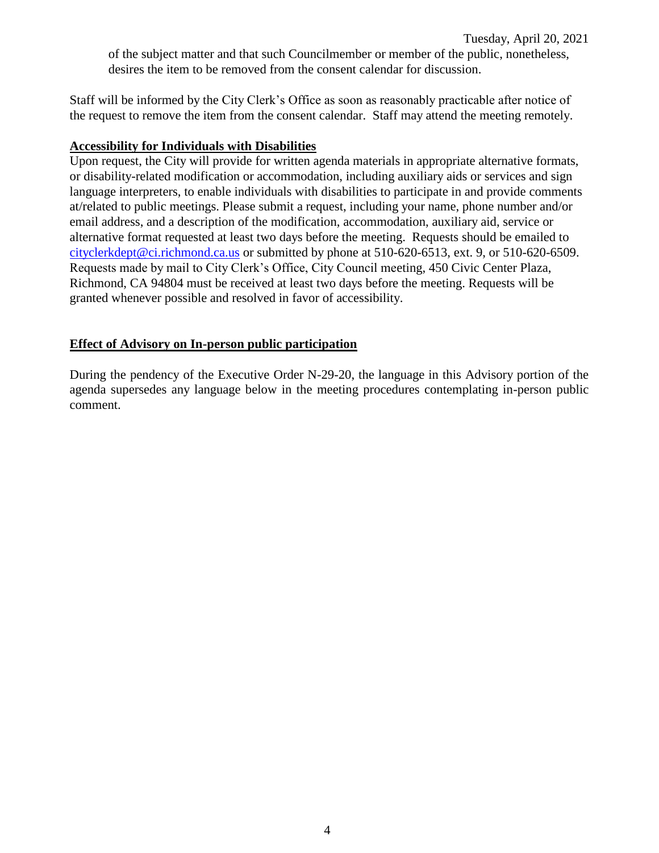Staff will be informed by the City Clerk's Office as soon as reasonably practicable after notice of the request to remove the item from the consent calendar. Staff may attend the meeting remotely.

#### **Accessibility for Individuals with Disabilities**

Upon request, the City will provide for written agenda materials in appropriate alternative formats, or disability-related modification or accommodation, including auxiliary aids or services and sign language interpreters, to enable individuals with disabilities to participate in and provide comments at/related to public meetings. Please submit a request, including your name, phone number and/or email address, and a description of the modification, accommodation, auxiliary aid, service or alternative format requested at least two days before the meeting. Requests should be emailed to [cityclerkdept@ci.richmond.ca.us](mailto:cityclerkdept@ci.richmond.ca.us) or submitted by phone at 510-620-6513, ext. 9, or 510-620-6509. Requests made by mail to City Clerk's Office, City Council meeting, 450 Civic Center Plaza, Richmond, CA 94804 must be received at least two days before the meeting. Requests will be granted whenever possible and resolved in favor of accessibility.

## **Effect of Advisory on In-person public participation**

During the pendency of the Executive Order N-29-20, the language in this Advisory portion of the agenda supersedes any language below in the meeting procedures contemplating in-person public comment.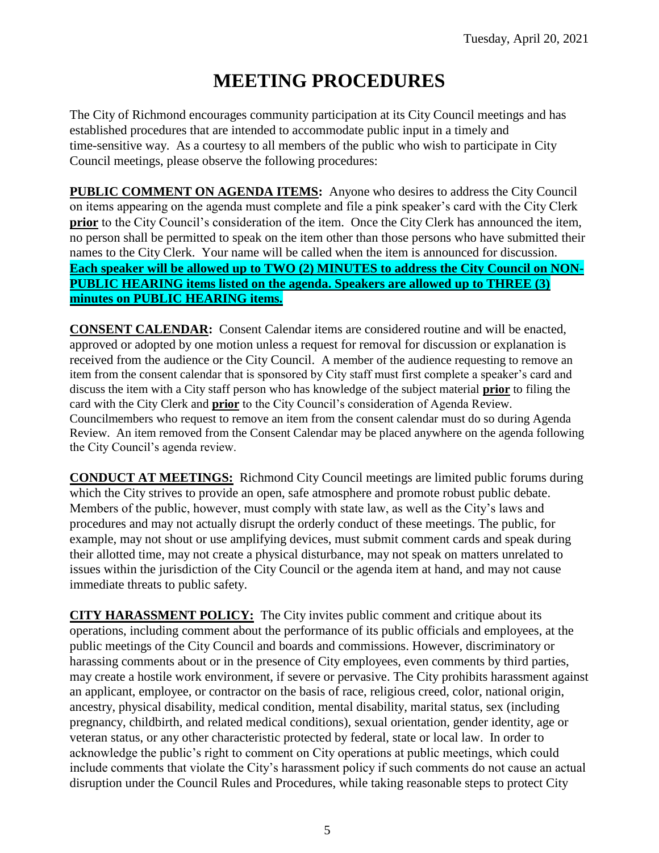# **MEETING PROCEDURES**

The City of Richmond encourages community participation at its City Council meetings and has established procedures that are intended to accommodate public input in a timely and time-sensitive way. As a courtesy to all members of the public who wish to participate in City Council meetings, please observe the following procedures:

**PUBLIC COMMENT ON AGENDA ITEMS:** Anyone who desires to address the City Council on items appearing on the agenda must complete and file a pink speaker's card with the City Clerk **prior** to the City Council's consideration of the item. Once the City Clerk has announced the item, no person shall be permitted to speak on the item other than those persons who have submitted their names to the City Clerk. Your name will be called when the item is announced for discussion. **Each speaker will be allowed up to TWO (2) MINUTES to address the City Council on NON-PUBLIC HEARING items listed on the agenda. Speakers are allowed up to THREE (3) minutes on PUBLIC HEARING items.**

**CONSENT CALENDAR:** Consent Calendar items are considered routine and will be enacted, approved or adopted by one motion unless a request for removal for discussion or explanation is received from the audience or the City Council. A member of the audience requesting to remove an item from the consent calendar that is sponsored by City staff must first complete a speaker's card and discuss the item with a City staff person who has knowledge of the subject material **prior** to filing the card with the City Clerk and **prior** to the City Council's consideration of Agenda Review. Councilmembers who request to remove an item from the consent calendar must do so during Agenda Review. An item removed from the Consent Calendar may be placed anywhere on the agenda following the City Council's agenda review.

**CONDUCT AT MEETINGS:** Richmond City Council meetings are limited public forums during which the City strives to provide an open, safe atmosphere and promote robust public debate. Members of the public, however, must comply with state law, as well as the City's laws and procedures and may not actually disrupt the orderly conduct of these meetings. The public, for example, may not shout or use amplifying devices, must submit comment cards and speak during their allotted time, may not create a physical disturbance, may not speak on matters unrelated to issues within the jurisdiction of the City Council or the agenda item at hand, and may not cause immediate threats to public safety.

**CITY HARASSMENT POLICY:** The City invites public comment and critique about its operations, including comment about the performance of its public officials and employees, at the public meetings of the City Council and boards and commissions. However, discriminatory or harassing comments about or in the presence of City employees, even comments by third parties, may create a hostile work environment, if severe or pervasive. The City prohibits harassment against an applicant, employee, or contractor on the basis of race, religious creed, color, national origin, ancestry, physical disability, medical condition, mental disability, marital status, sex (including pregnancy, childbirth, and related medical conditions), sexual orientation, gender identity, age or veteran status, or any other characteristic protected by federal, state or local law. In order to acknowledge the public's right to comment on City operations at public meetings, which could include comments that violate the City's harassment policy if such comments do not cause an actual disruption under the Council Rules and Procedures, while taking reasonable steps to protect City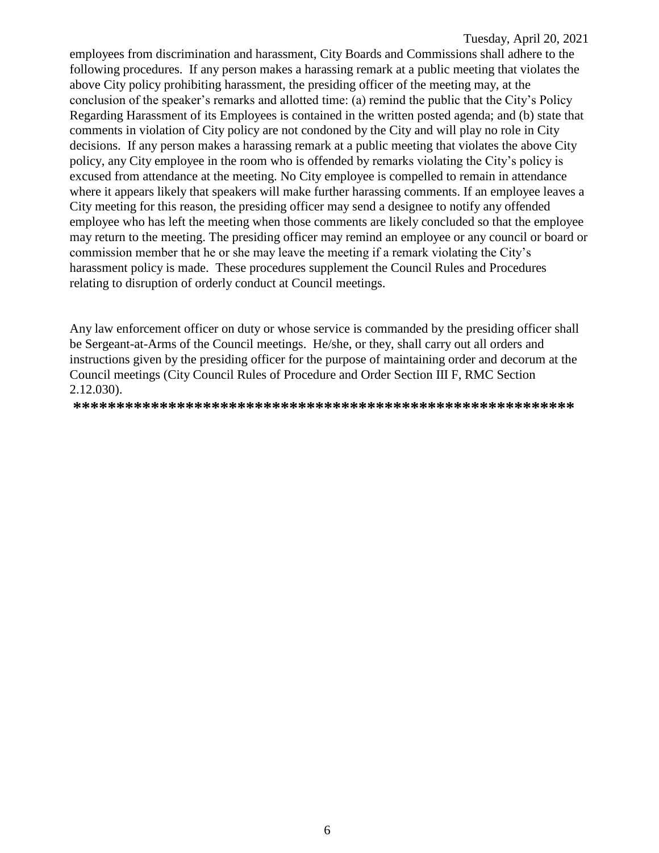employees from discrimination and harassment, City Boards and Commissions shall adhere to the following procedures. If any person makes a harassing remark at a public meeting that violates the above City policy prohibiting harassment, the presiding officer of the meeting may, at the conclusion of the speaker's remarks and allotted time: (a) remind the public that the City's Policy Regarding Harassment of its Employees is contained in the written posted agenda; and (b) state that comments in violation of City policy are not condoned by the City and will play no role in City decisions. If any person makes a harassing remark at a public meeting that violates the above City policy, any City employee in the room who is offended by remarks violating the City's policy is excused from attendance at the meeting. No City employee is compelled to remain in attendance where it appears likely that speakers will make further harassing comments. If an employee leaves a City meeting for this reason, the presiding officer may send a designee to notify any offended employee who has left the meeting when those comments are likely concluded so that the employee may return to the meeting. The presiding officer may remind an employee or any council or board or commission member that he or she may leave the meeting if a remark violating the City's harassment policy is made. These procedures supplement the Council Rules and Procedures relating to disruption of orderly conduct at Council meetings.

Any law enforcement officer on duty or whose service is commanded by the presiding officer shall be Sergeant-at-Arms of the Council meetings. He/she, or they, shall carry out all orders and instructions given by the presiding officer for the purpose of maintaining order and decorum at the Council meetings (City Council Rules of Procedure and Order Section III F, RMC Section 2.12.030).

**\*\*\*\*\*\*\*\*\*\*\*\*\*\*\*\*\*\*\*\*\*\*\*\*\*\*\*\*\*\*\*\*\*\*\*\*\*\*\*\*\*\*\*\*\*\*\*\*\*\*\*\*\*\*\*\*\*\***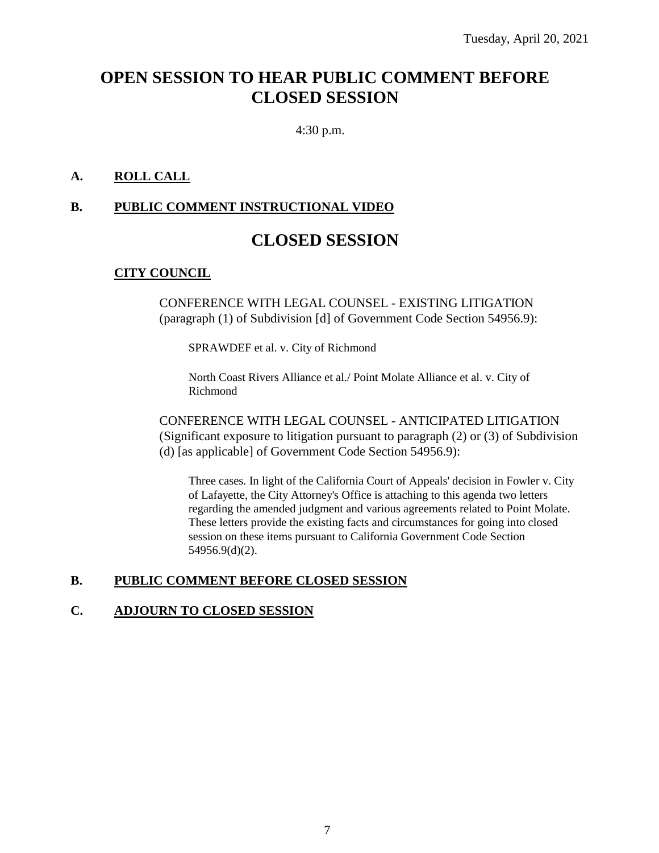## **OPEN SESSION TO HEAR PUBLIC COMMENT BEFORE CLOSED SESSION**

4:30 p.m.

## **A. ROLL CALL**

#### **B. PUBLIC COMMENT INSTRUCTIONAL VIDEO**

## **CLOSED SESSION**

#### **CITY COUNCIL**

CONFERENCE WITH LEGAL COUNSEL - EXISTING LITIGATION (paragraph (1) of Subdivision [d] of Government Code Section 54956.9):

SPRAWDEF et al. v. City of Richmond

North Coast Rivers Alliance et al./ Point Molate Alliance et al. v. City of Richmond

CONFERENCE WITH LEGAL COUNSEL - ANTICIPATED LITIGATION (Significant exposure to litigation pursuant to paragraph (2) or (3) of Subdivision (d) [as applicable] of Government Code Section 54956.9):

Three cases. In light of the California Court of Appeals' decision in Fowler v. City of Lafayette, the City Attorney's Office is attaching to this agenda two letters regarding the amended judgment and various agreements related to Point Molate. These letters provide the existing facts and circumstances for going into closed session on these items pursuant to California Government Code Section 54956.9(d)(2).

#### **B. PUBLIC COMMENT BEFORE CLOSED SESSION**

#### **C. ADJOURN TO CLOSED SESSION**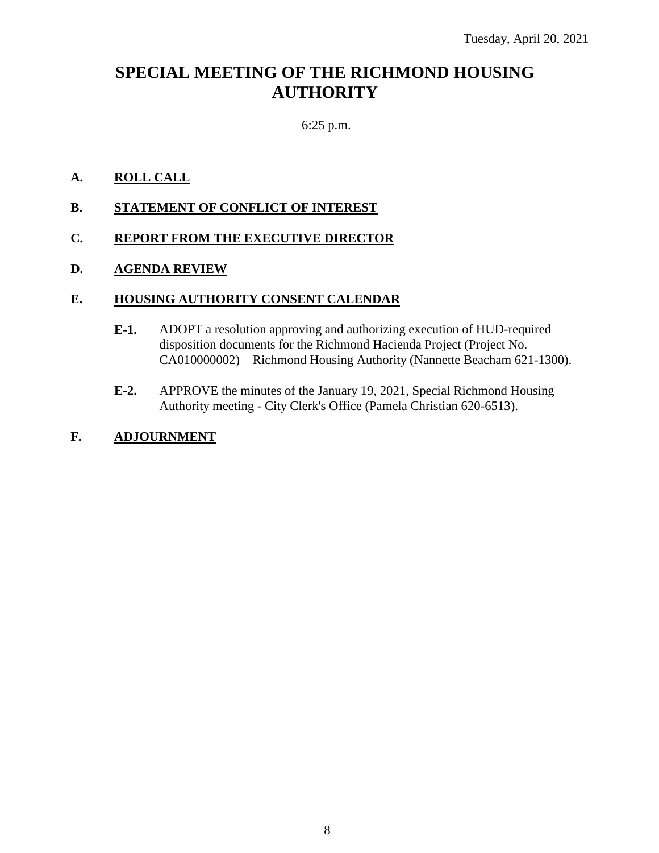## **SPECIAL MEETING OF THE RICHMOND HOUSING AUTHORITY**

## 6:25 p.m.

## **A. ROLL CALL**

**B. STATEMENT OF CONFLICT OF INTEREST**

## **C. REPORT FROM THE EXECUTIVE DIRECTOR**

#### **D. AGENDA REVIEW**

#### **E. HOUSING AUTHORITY CONSENT CALENDAR**

- **E-1.** ADOPT a resolution approving and authorizing execution of HUD-required disposition documents for the Richmond Hacienda Project (Project No. CA010000002) – Richmond Housing Authority (Nannette Beacham 621-1300).
- **E-2.** APPROVE the minutes of the January 19, 2021, Special Richmond Housing Authority meeting - City Clerk's Office (Pamela Christian 620-6513).

#### **F. ADJOURNMENT**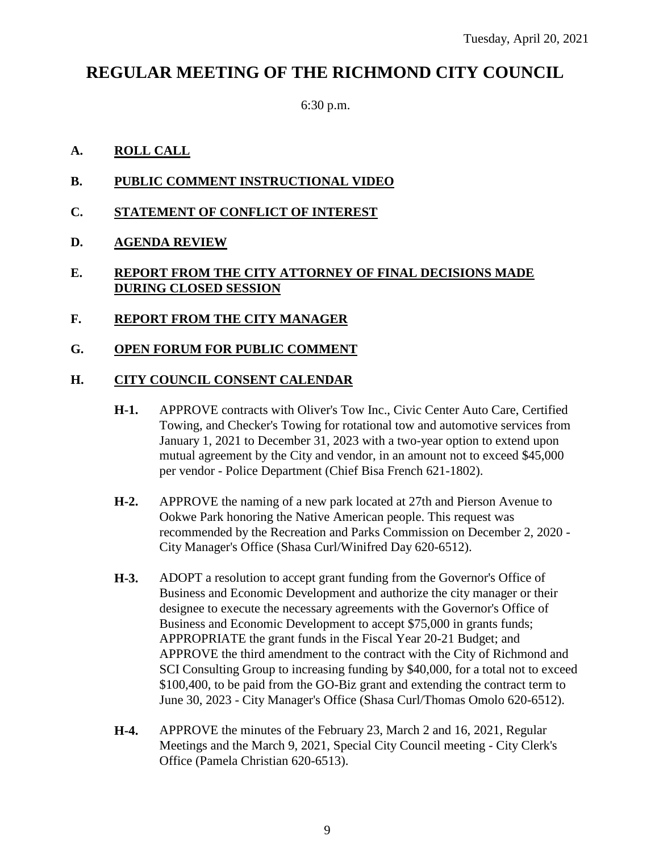## **REGULAR MEETING OF THE RICHMOND CITY COUNCIL**

6:30 p.m.

#### **A. ROLL CALL**

- **B. PUBLIC COMMENT INSTRUCTIONAL VIDEO**
- **C. STATEMENT OF CONFLICT OF INTEREST**
- **D. AGENDA REVIEW**

## **E. REPORT FROM THE CITY ATTORNEY OF FINAL DECISIONS MADE DURING CLOSED SESSION**

**F. REPORT FROM THE CITY MANAGER**

#### **G. OPEN FORUM FOR PUBLIC COMMENT**

#### **H. CITY COUNCIL CONSENT CALENDAR**

- **H-1.** APPROVE contracts with Oliver's Tow Inc., Civic Center Auto Care, Certified Towing, and Checker's Towing for rotational tow and automotive services from January 1, 2021 to December 31, 2023 with a two-year option to extend upon mutual agreement by the City and vendor, in an amount not to exceed \$45,000 per vendor - Police Department (Chief Bisa French 621-1802).
- **H-2.** APPROVE the naming of a new park located at 27th and Pierson Avenue to Ookwe Park honoring the Native American people. This request was recommended by the Recreation and Parks Commission on December 2, 2020 - City Manager's Office (Shasa Curl/Winifred Day 620-6512).
- **H-3.** ADOPT a resolution to accept grant funding from the Governor's Office of Business and Economic Development and authorize the city manager or their designee to execute the necessary agreements with the Governor's Office of Business and Economic Development to accept \$75,000 in grants funds; APPROPRIATE the grant funds in the Fiscal Year 20-21 Budget; and APPROVE the third amendment to the contract with the City of Richmond and SCI Consulting Group to increasing funding by \$40,000, for a total not to exceed \$100,400, to be paid from the GO-Biz grant and extending the contract term to June 30, 2023 - City Manager's Office (Shasa Curl/Thomas Omolo 620-6512).
- **H-4.** APPROVE the minutes of the February 23, March 2 and 16, 2021, Regular Meetings and the March 9, 2021, Special City Council meeting - City Clerk's Office (Pamela Christian 620-6513).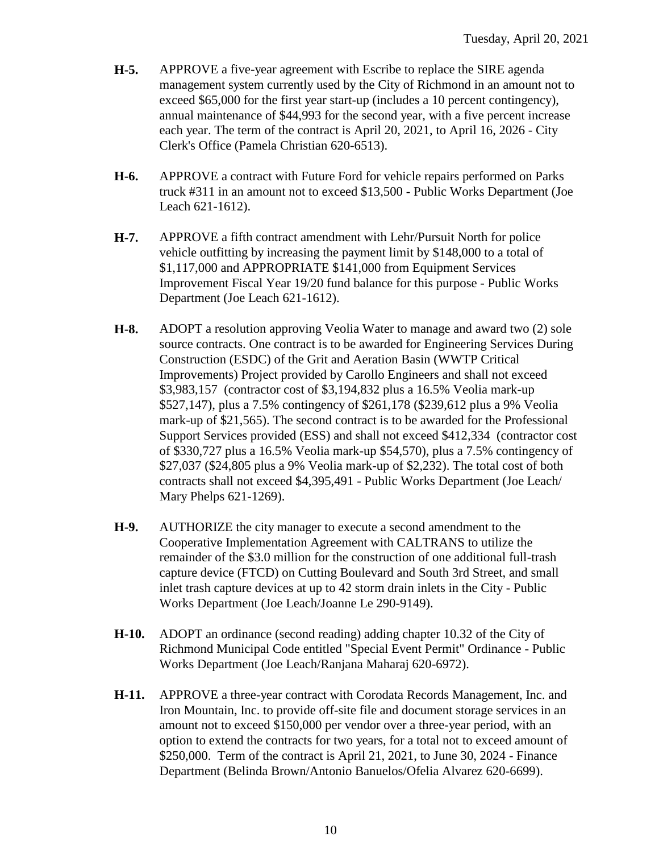- **H-5.** APPROVE a five-year agreement with Escribe to replace the SIRE agenda management system currently used by the City of Richmond in an amount not to exceed \$65,000 for the first year start-up (includes a 10 percent contingency), annual maintenance of \$44,993 for the second year, with a five percent increase each year. The term of the contract is April 20, 2021, to April 16, 2026 - City Clerk's Office (Pamela Christian 620-6513).
- **H-6.** APPROVE a contract with Future Ford for vehicle repairs performed on Parks truck #311 in an amount not to exceed \$13,500 - Public Works Department (Joe Leach 621-1612).
- **H-7.** APPROVE a fifth contract amendment with Lehr/Pursuit North for police vehicle outfitting by increasing the payment limit by \$148,000 to a total of \$1,117,000 and APPROPRIATE \$141,000 from Equipment Services Improvement Fiscal Year 19/20 fund balance for this purpose - Public Works Department (Joe Leach 621-1612).
- **H-8.** ADOPT a resolution approving Veolia Water to manage and award two (2) sole source contracts. One contract is to be awarded for Engineering Services During Construction (ESDC) of the Grit and Aeration Basin (WWTP Critical Improvements) Project provided by Carollo Engineers and shall not exceed \$3,983,157 (contractor cost of \$3,194,832 plus a 16.5% Veolia mark-up \$527,147), plus a 7.5% contingency of \$261,178 (\$239,612 plus a 9% Veolia mark-up of \$21,565). The second contract is to be awarded for the Professional Support Services provided (ESS) and shall not exceed \$412,334 (contractor cost of \$330,727 plus a 16.5% Veolia mark-up \$54,570), plus a 7.5% contingency of \$27,037 (\$24,805 plus a 9% Veolia mark-up of \$2,232). The total cost of both contracts shall not exceed \$4,395,491 - Public Works Department (Joe Leach/ Mary Phelps 621-1269).
- **H-9.** AUTHORIZE the city manager to execute a second amendment to the Cooperative Implementation Agreement with CALTRANS to utilize the remainder of the \$3.0 million for the construction of one additional full-trash capture device (FTCD) on Cutting Boulevard and South 3rd Street, and small inlet trash capture devices at up to 42 storm drain inlets in the City - Public Works Department (Joe Leach/Joanne Le 290-9149).
- **H-10.** ADOPT an ordinance (second reading) adding chapter 10.32 of the City of Richmond Municipal Code entitled "Special Event Permit" Ordinance - Public Works Department (Joe Leach/Ranjana Maharaj 620-6972).
- **H-11.** APPROVE a three-year contract with Corodata Records Management, Inc. and Iron Mountain, Inc. to provide off-site file and document storage services in an amount not to exceed \$150,000 per vendor over a three-year period, with an option to extend the contracts for two years, for a total not to exceed amount of \$250,000. Term of the contract is April 21, 2021, to June 30, 2024 - Finance Department (Belinda Brown/Antonio Banuelos/Ofelia Alvarez 620-6699).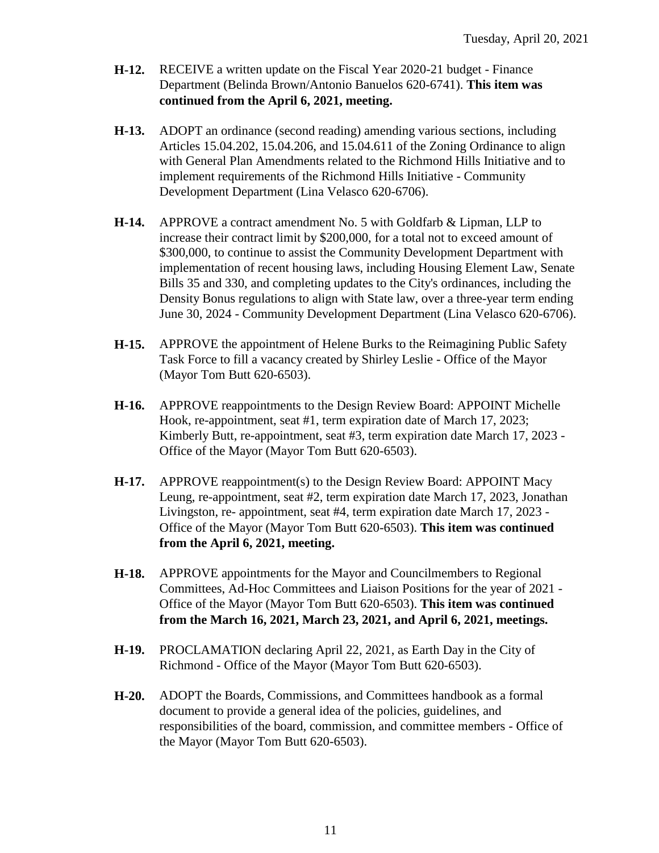- **H-12.** RECEIVE a written update on the Fiscal Year 2020-21 budget Finance Department (Belinda Brown/Antonio Banuelos 620-6741). **This item was continued from the April 6, 2021, meeting.**
- **H-13.** ADOPT an ordinance (second reading) amending various sections, including Articles 15.04.202, 15.04.206, and 15.04.611 of the Zoning Ordinance to align with General Plan Amendments related to the Richmond Hills Initiative and to implement requirements of the Richmond Hills Initiative - Community Development Department (Lina Velasco 620-6706).
- **H-14.** APPROVE a contract amendment No. 5 with Goldfarb & Lipman, LLP to increase their contract limit by \$200,000, for a total not to exceed amount of \$300,000, to continue to assist the Community Development Department with implementation of recent housing laws, including Housing Element Law, Senate Bills 35 and 330, and completing updates to the City's ordinances, including the Density Bonus regulations to align with State law, over a three-year term ending June 30, 2024 - Community Development Department (Lina Velasco 620-6706).
- **H-15.** APPROVE the appointment of Helene Burks to the Reimagining Public Safety Task Force to fill a vacancy created by Shirley Leslie - Office of the Mayor (Mayor Tom Butt 620-6503).
- **H-16.** APPROVE reappointments to the Design Review Board: APPOINT Michelle Hook, re-appointment, seat #1, term expiration date of March 17, 2023; Kimberly Butt, re-appointment, seat #3, term expiration date March 17, 2023 - Office of the Mayor (Mayor Tom Butt 620-6503).
- **H-17.** APPROVE reappointment(s) to the Design Review Board: APPOINT Macy Leung, re-appointment, seat #2, term expiration date March 17, 2023, Jonathan Livingston, re- appointment, seat #4, term expiration date March 17, 2023 - Office of the Mayor (Mayor Tom Butt 620-6503). **This item was continued from the April 6, 2021, meeting.**
- **H-18.** APPROVE appointments for the Mayor and Councilmembers to Regional Committees, Ad-Hoc Committees and Liaison Positions for the year of 2021 - Office of the Mayor (Mayor Tom Butt 620-6503). **This item was continued from the March 16, 2021, March 23, 2021, and April 6, 2021, meetings.**
- **H-19.** PROCLAMATION declaring April 22, 2021, as Earth Day in the City of Richmond - Office of the Mayor (Mayor Tom Butt 620-6503).
- **H-20.** ADOPT the Boards, Commissions, and Committees handbook as a formal document to provide a general idea of the policies, guidelines, and responsibilities of the board, commission, and committee members - Office of the Mayor (Mayor Tom Butt 620-6503).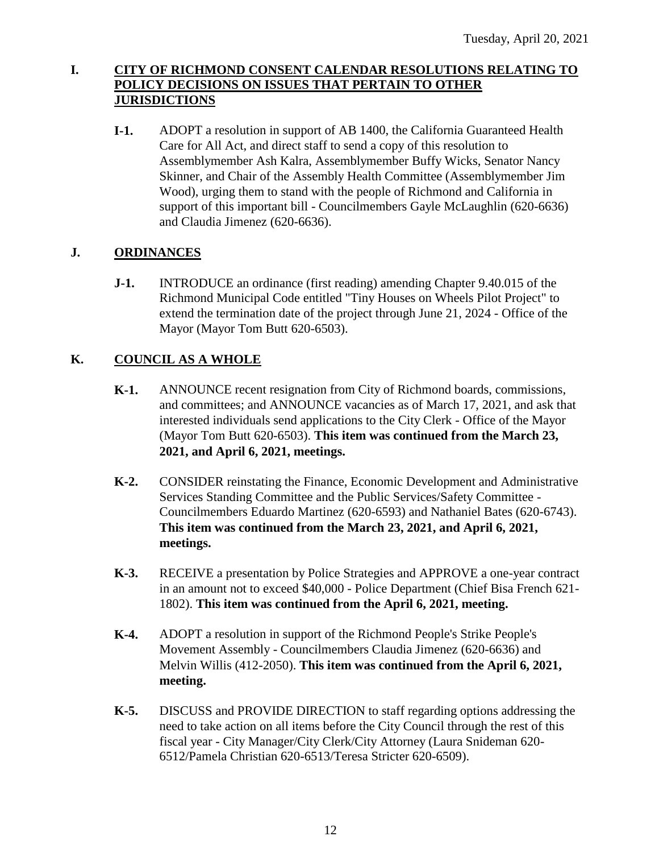## **I. CITY OF RICHMOND CONSENT CALENDAR RESOLUTIONS RELATING TO POLICY DECISIONS ON ISSUES THAT PERTAIN TO OTHER JURISDICTIONS**

**I-1.** ADOPT a resolution in support of AB 1400, the California Guaranteed Health Care for All Act, and direct staff to send a copy of this resolution to Assemblymember Ash Kalra, Assemblymember Buffy Wicks, Senator Nancy Skinner, and Chair of the Assembly Health Committee (Assemblymember Jim Wood), urging them to stand with the people of Richmond and California in support of this important bill - Councilmembers Gayle McLaughlin (620-6636) and Claudia Jimenez (620-6636).

## **J. ORDINANCES**

**J-1.** INTRODUCE an ordinance (first reading) amending Chapter 9.40.015 of the Richmond Municipal Code entitled "Tiny Houses on Wheels Pilot Project" to extend the termination date of the project through June 21, 2024 - Office of the Mayor (Mayor Tom Butt 620-6503).

## **K. COUNCIL AS A WHOLE**

- **K-1.** ANNOUNCE recent resignation from City of Richmond boards, commissions, and committees; and ANNOUNCE vacancies as of March 17, 2021, and ask that interested individuals send applications to the City Clerk - Office of the Mayor (Mayor Tom Butt 620-6503). **This item was continued from the March 23, 2021, and April 6, 2021, meetings.**
- **K-2.** CONSIDER reinstating the Finance, Economic Development and Administrative Services Standing Committee and the Public Services/Safety Committee - Councilmembers Eduardo Martinez (620-6593) and Nathaniel Bates (620-6743). **This item was continued from the March 23, 2021, and April 6, 2021, meetings.**
- **K-3.** RECEIVE a presentation by Police Strategies and APPROVE a one-year contract in an amount not to exceed \$40,000 - Police Department (Chief Bisa French 621- 1802). **This item was continued from the April 6, 2021, meeting.**
- **K-4.** ADOPT a resolution in support of the Richmond People's Strike People's Movement Assembly - Councilmembers Claudia Jimenez (620-6636) and Melvin Willis (412-2050). **This item was continued from the April 6, 2021, meeting.**
- **K-5.** DISCUSS and PROVIDE DIRECTION to staff regarding options addressing the need to take action on all items before the City Council through the rest of this fiscal year - City Manager/City Clerk/City Attorney (Laura Snideman 620- 6512/Pamela Christian 620-6513/Teresa Stricter 620-6509).